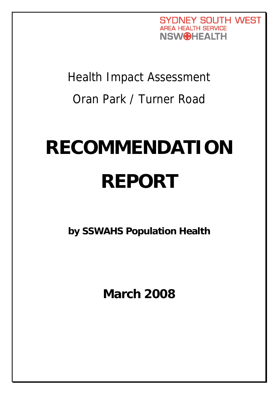**SYDNEY SOUTH WEST AREA HEALTH SERVICE NSW**OHEALTH

Health Impact Assessment Oran Park / Turner Road

# **RECOMMENDATION REPORT**

**by SSWAHS Population Health** 

**March 2008**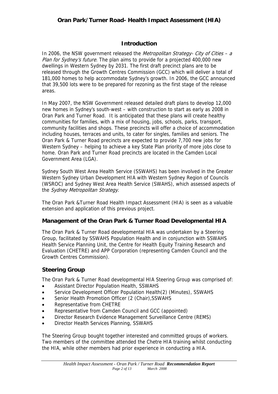# **Introduction**

In 2006, the NSW government released the *Metropolitan Strategy- City of Cities – a* Plan for Sydney's future. The plan aims to provide for a projected 400,000 new dwellings in Western Sydney by 2031. The first draft precinct plans are to be released through the Growth Centres Commission (GCC) which will deliver a total of 181,000 homes to help accommodate Sydney's growth. In 2006, the GCC announced that 39,500 lots were to be prepared for rezoning as the first stage of the release areas.

In May 2007, the NSW Government released detailed draft plans to develop 12,000 new homes in Sydney's south-west – with construction to start as early as 2008 in Oran Park and Turner Road. It is anticipated that these plans will create healthy communities for families, with a mix of housing, jobs, schools, parks, transport, community facilities and shops. These precincts will offer a choice of accommodation including houses, terraces and units, to cater for singles, families and seniors. The Oran Park & Turner Road precincts are expected to provide 7,700 new jobs for Western Sydney – helping to achieve a key State Plan priority of more jobs close to home. Oran Park and Turner Road precincts are located in the Camden Local Government Area (LGA).

Sydney South West Area Health Service (SSWAHS) has been involved in the Greater Western Sydney Urban Development HIA with Western Sydney Region of Councils (WSROC) and Sydney West Area Health Service (SWAHS), which assessed aspects of the Sydney Metropolitan Strategy.

The Oran Park &Turner Road Health Impact Assessment (HIA) is seen as a valuable extension and application of this previous project.

## **Management of the Oran Park & Turner Road Developmental HIA**

The Oran Park & Turner Road developmental HIA was undertaken by a Steering Group, facilitated by SSWAHS Population Health and in conjunction with SSWAHS Health Service Planning Unit, the Centre for Health Equity Training Research and Evaluation (CHETRE) and APP Corporation (representing Camden Council and the Growth Centres Commission).

## **Steering Group**

The Oran Park & Turner Road developmental HIA Steering Group was comprised of:

- Assistant Director Population Health, SSWAHS
- Service Development Officer Population Health(2) (Minutes), SSWAHS
- Senior Health Promotion Officer (2 (Chair), SSWAHS
- Representative from CHETRE
- Representative from Camden Council and GCC (appointed)
- Director Research Evidence Management Surveillance Centre (REMS)
- Director Health Services Planning, SSWAHS

The Steering Group bought together interested and committed groups of workers. Two members of the committee attended the Chetre HIA training whilst conducting the HIA, while other members had prior experience in conducting a HIA.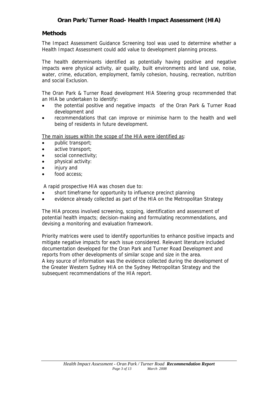#### **Methods**

The Impact Assessment Guidance Screening tool was used to determine whether a Health Impact Assessment could add value to development planning process.

The health determinants identified as potentially having positive and negative impacts were physical activity, air quality, built environments and land use, noise, water, crime, education, employment, family cohesion, housing, recreation, nutrition and social Exclusion.

The Oran Park & Turner Road development HIA Steering group recommended that an HIA be undertaken to identify:

- the potential positive and negative impacts of the Oran Park & Turner Road development and
- recommendations that can improve or minimise harm to the health and well being of residents in future development.

The main issues within the scope of the HIA were identified as:

- public transport;
- active transport;
- social connectivity;
- physical activity:
- injury and
- food access;

A rapid prospective HIA was chosen due to:

- short timeframe for opportunity to influence precinct planning
- evidence already collected as part of the HIA on the Metropolitan Strategy

The HIA process involved screening, scoping, identification and assessment of potential health impacts; decision-making and formulating recommendations, and devising a monitoring and evaluation framework.

Priority matrices were used to identify opportunities to enhance positive impacts and mitigate negative impacts for each issue considered. Relevant literature included documentation developed for the Oran Park and Turner Road Development and reports from other developments of similar scope and size in the area. A key source of information was the evidence collected during the development of the Greater Western Sydney HIA on the Sydney Metropolitan Strategy and the subsequent recommendations of the HIA report.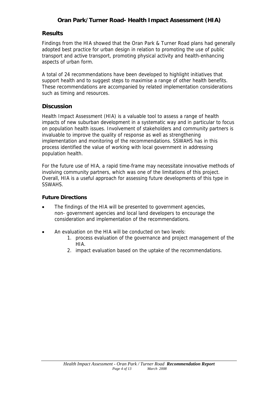## **Results**

Findings from the HIA showed that the Oran Park & Turner Road plans had generally adopted best practice for urban design in relation to promoting the use of public transport and active transport, promoting physical activity and health-enhancing aspects of urban form.

A total of 24 recommendations have been developed to highlight initiatives that support health and to suggest steps to maximise a range of other health benefits. These recommendations are accompanied by related implementation considerations such as timing and resources.

## **Discussion**

Health Impact Assessment (HIA) is a valuable tool to assess a range of health impacts of new suburban development in a systematic way and in particular to focus on population health issues. Involvement of stakeholders and community partners is invaluable to improve the quality of response as well as strengthening implementation and monitoring of the recommendations. SSWAHS has in this process identified the value of working with local government in addressing population health.

For the future use of HIA, a rapid time-frame may necessitate innovative methods of involving community partners, which was one of the limitations of this project. Overall, HIA is a useful approach for assessing future developments of this type in SSWAHS.

#### **Future Directions**

- The findings of the HIA will be presented to government agencies, non- government agencies and local land developers to encourage the consideration and implementation of the recommendations.
- An evaluation on the HIA will be conducted on two levels:
	- 1. process evaluation of the governance and project management of the HIA.
	- 2. impact evaluation based on the uptake of the recommendations.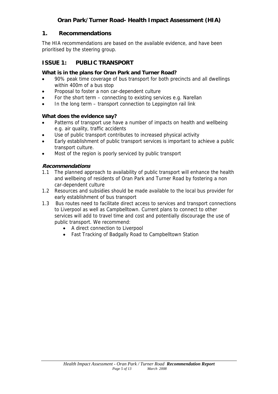## **1. Recommendations**

The HIA recommendations are based on the available evidence, and have been prioritised by the steering group.

# **ISSUE 1: PUBLIC TRANSPORT**

#### **What is in the plans for Oran Park and Turner Road?**

- 90% peak time coverage of bus transport for both precincts and all dwellings within 400m of a bus stop
- Proposal to foster a non car-dependent culture
- For the short term connecting to existing services e.g. Narellan
- In the long term transport connection to Leppington rail link

## **What does the evidence say?**

- Patterns of transport use have a number of impacts on health and wellbeing e.g. air quality, traffic accidents
- Use of public transport contributes to increased physical activity
- Early establishment of public transport services is important to achieve a public transport culture.
- Most of the region is poorly serviced by public transport

- 1.1 The planned approach to availability of public transport will enhance the health and wellbeing of residents of Oran Park and Turner Road by fostering a non car-dependent culture
- 1.2 Resources and subsidies should be made available to the local bus provider for early establishment of bus transport
- 1.3 Bus routes need to facilitate direct access to services and transport connections to Liverpool as well as Campbelltown. Current plans to connect to other services will add to travel time and cost and potentially discourage the use of public transport. We recommend:
	- A direct connection to Liverpool
	- Fast Tracking of Badgally Road to Campbelltown Station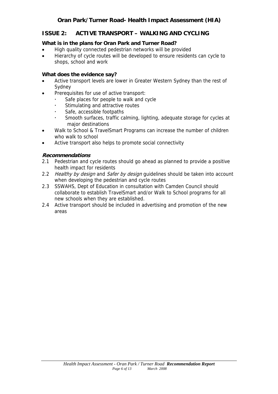# **ISSUE 2: ACTIVE TRANSPORT – WALKING AND CYCLING**

#### **What is in the plans for Oran Park and Turner Road?**

- High quality connected pedestrian networks will be provided
- Hierarchy of cycle routes will be developed to ensure residents can cycle to shops, school and work

#### **What does the evidence say?**

- Active transport levels are lower in Greater Western Sydney than the rest of Sydney
- Prerequisites for use of active transport:
	- Safe places for people to walk and cycle
	- Stimulating and attractive routes
	- Safe, accessible footpaths
	- Smooth surfaces, traffic calming, lighting, adequate storage for cycles at major destinations
- Walk to School & TravelSmart Programs can increase the number of children who walk to school
- Active transport also helps to promote social connectivity

- 2.1 Pedestrian and cycle routes should go ahead as planned to provide a positive health impact for residents
- 2.2 Healthy by design and Safer by design guidelines should be taken into account when developing the pedestrian and cycle routes
- 2.3 SSWAHS, Dept of Education in consultation with Camden Council should collaborate to establish TravelSmart and/or Walk to School programs for all new schools when they are established.
- 2.4 Active transport should be included in advertising and promotion of the new areas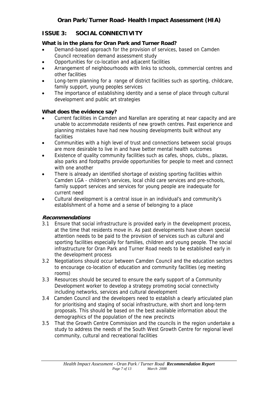# **ISSUE 3: SOCIAL CONNECTIVITY**

## **What is in the plans for Oran Park and Turner Road?**

- Demand-based approach for the provision of services, based on Camden Council recreation demand assessment study
- Opportunities for co-location and adjacent facilities
- Arrangement of neighbourhoods with links to schools, commercial centres and other facilities
- Long-term planning for a range of district facilities such as sporting, childcare, family support, young peoples services
- The importance of establishing identity and a sense of place through cultural development and public art strategies

## **What does the evidence say?**

- Current facilities in Camden and Narellan are operating at near capacity and are unable to accommodate residents of new growth centres. Past experience and planning mistakes have had new housing developments built without any facilities
- Communities with a high level of trust and connections between social groups are more desirable to live in and have better mental health outcomes
- Existence of quality community facilities such as cafes, shops, clubs,, plazas, also parks and footpaths provide opportunities for people to meet and connect with one another
- There is already an identified shortage of existing sporting facilities within Camden LGA - children's services, local child care services and pre-schools, family support services and services for young people are inadequate for current need
- Cultural development is a central issue in an individual's and community's establishment of a home and a sense of belonging to a place

- 3.1 Ensure that social infrastructure is provided early in the development process, at the time that residents move in. As past developments have shown special attention needs to be paid to the provision of services such as cultural and sporting facilities especially for families, children and young people. The social infrastructure for Oran Park and Turner Road needs to be established early in the development process
- 3.2 Negotiations should occur between Camden Council and the education sectors to encourage co-location of education and community facilities (eg meeting rooms)
- 3.3 Resources should be secured to ensure the early support of a Community Development worker to develop a strategy promoting social connectivity including networks, services and cultural development
- 3.4 Camden Council and the developers need to establish a clearly articulated plan for prioritising and staging of social infrastructure, with short and long-term proposals. This should be based on the best available information about the demographics of the population of the new precincts
- 3.5 That the Growth Centre Commission and the councils in the region undertake a study to address the needs of the South West Growth Centre for regional level community, cultural and recreational facilities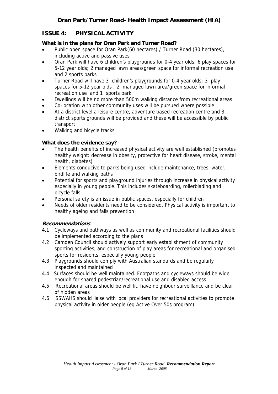# **ISSUE 4: PHYSICAL ACTIVITY**

## **What is in the plans for Oran Park and Turner Road?**

- Public open space for Oran Park(60 hectares) / Turner Road (30 hectares), including active and passive uses
- Oran Park will have 6 children's playgrounds for 0-4 year olds; 6 play spaces for 5-12 year olds; 2 managed lawn areas/green space for informal recreation use and 2 sports parks
- Turner Road will have 3 children's playgrounds for 0-4 year olds; 3 play spaces for 5-12 year olds ; 2 managed lawn area/green space for informal recreation use and 1 sports park
- Dwellings will be no more than 500m walking distance from recreational areas
- Co-location with other community uses will be pursued where possible
- At a district level a leisure centre, adventure based recreation centre and 3 district sports grounds will be provided and these will be accessible by public transport
- Walking and bicycle tracks

## **What does the evidence say?**

- The health benefits of increased physical activity are well established (promotes healthy weight: decrease in obesity, protective for heart disease, stroke, mental health, diabetes)
- Elements conducive to parks being used include maintenance, trees, water, birdlife and walking paths
- Potential for sports and playground injuries through increase in physical activity especially in young people. This includes skateboarding, rollerblading and bicycle falls
- Personal safety is an issue in public spaces, especially for children
- Needs of older residents need to be considered. Physical activity is important to healthy ageing and falls prevention

- 4.1 Cycleways and pathways as well as community and recreational facilities should be implemented according to the plans
- 4.2 Camden Council should actively support early establishment of community sporting activities, and construction of play areas for recreational and organised sports for residents, especially young people
- 4.3 Playgrounds should comply with Australian standards and be regularly inspected and maintained
- 4.4 Surfaces should be well maintained. Footpaths and cycleways should be wide enough for shared pedestrian/recreational use and disabled access
- 4.5 Recreational areas should be well lit, have neighbour surveillance and be clear of hidden areas
- 4.6 SSWAHS should liaise with local providers for recreational activities to promote physical activity in older people (eg Active Over 50s program)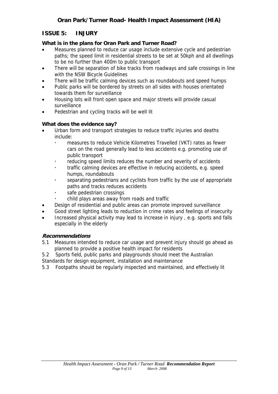# **ISSUE 5: INJURY**

## **What is in the plans for Oran Park and Turner Road?**

- Measures planned to reduce car usage include extensive cycle and pedestrian paths; the speed limit in residential streets to be set at 50kph and all dwellings to be no further than 400m to public transport
- There will be separation of bike tracks from roadways and safe crossings in line with the NSW Bicycle Guidelines
- There will be traffic calming devices such as roundabouts and speed humps
- Public parks will be bordered by streets on all sides with houses orientated towards them for surveillance
- Housing lots will front open space and major streets will provide casual surveillance
- Pedestrian and cycling tracks will be well lit

## **What does the evidence say?**

- Urban form and transport strategies to reduce traffic injuries and deaths include:
	- measures to reduce Vehicle Kilometres Travelled (VKT) rates as fewer cars on the road generally lead to less accidents e.g. promoting use of public transport
	- reducing speed limits reduces the number and severity of accidents
	- traffic calming devices are effective in reducing accidents, e.g. speed humps, roundabouts
	- separating pedestrians and cyclists from traffic by the use of appropriate paths and tracks reduces accidents
	- safe pedestrian crossings
	- child plays areas away from roads and traffic
- Design of residential and public areas can promote improved surveillance
- Good street lighting leads to reduction in crime rates and feelings of insecurity
- Increased physical activity may lead to increase in injury , e.g. sports and falls especially in the elderly

- 5.1 Measures intended to reduce car usage and prevent injury should go ahead as planned to provide a positive health impact for residents
- 5.2 Sports field, public parks and playgrounds should meet the Australian
- Standards for design equipment, installation and maintenance
- 5.3 Footpaths should be regularly inspected and maintained, and effectively lit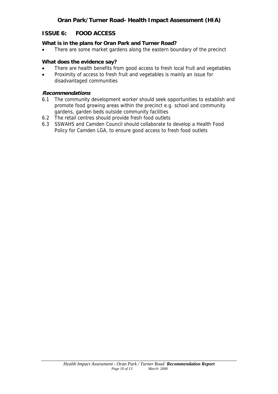# **ISSUE 6: FOOD ACCESS**

#### **What is in the plans for Oran Park and Turner Road?**

• There are some market gardens along the eastern boundary of the precinct

#### **What does the evidence say?**

- There are health benefits from good access to fresh local fruit and vegetables
- Proximity of access to fresh fruit and vegetables is mainly an issue for disadvantaged communities

- 6.1 The community development worker should seek opportunities to establish and promote food growing areas within the precinct e.g. school and community gardens, garden beds outside community facilities
- 6.2 The retail centres should provide fresh food outlets
- 6.3 SSWAHS and Camden Council should collaborate to develop a Health Food Policy for Camden LGA, to ensure good access to fresh food outlets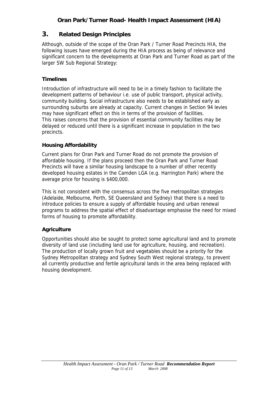# **3. Related Design Principles**

Although, outside of the scope of the Oran Park / Turner Road Precincts HIA, the following issues have emerged during the HIA process as being of relevance and significant concern to the developments at Oran Park and Turner Road as part of the larger SW Sub Regional Strategy:

# **Timelines**

Introduction of infrastructure will need to be in a timely fashion to facilitate the development patterns of behaviour i.e. use of public transport, physical activity, community building. Social infrastructure also needs to be established early as surrounding suburbs are already at capacity. Current changes in Section 94 levies may have significant effect on this in terms of the provision of facilities. This raises concerns that the provision of essential community facilities may be delayed or reduced until there is a significant increase in population in the two precincts.

# **Housing Affordability**

Current plans for Oran Park and Turner Road do not promote the provision of affordable housing. If the plans proceed then the Oran Park and Turner Road Precincts will have a similar housing landscape to a number of other recently developed housing estates in the Camden LGA (e.g. Harrington Park) where the average price for housing is \$400,000.

This is not consistent with the consensus across the five metropolitan strategies (Adelaide, Melbourne, Perth, SE Queensland and Sydney) that there is a need to introduce policies to ensure a supply of affordable housing and urban renewal programs to address the spatial effect of disadvantage emphasise the need for mixed forms of housing to promote affordability.

# **Agriculture**

Opportunities should also be sought to protect some agricultural land and to promote diversity of land use (including land use for agriculture, housing, and recreation). The production of locally grown fruit and vegetables should be a priority for the Sydney Metropolitan strategy and Sydney South West regional strategy, to prevent all currently productive and fertile agricultural lands in the area being replaced with housing development.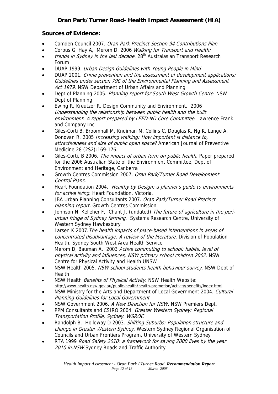# **Sources of Evidence:**

- Camden Council 2007. Oran Park Precinct Section 94 Contributions Plan
- Corpus G, Hay A, Merom D. 2006 Walking for Transport and Health:
- trends in Sydney in the last decade. 28<sup>th</sup> Australasian Transport Research Forum
- DUAP 1999. Urban Design Guidelines with Young People in Mind
- DUAP 2001. Crime prevention and the assessment of development applications: Guidelines under section 79C of the Environmental Planning and Assessment Act 1979. NSW Department of Urban Affairs and Planning
- Dept of Planning 2005. Planning report for South West Growth Centre. NSW Dept of Planning
- Ewing R, Kreutzer R. Design Community and Environment. 2006 Understanding the relationship between public health and the built environment: A report prepared by LEED-ND Core Committee. Lawrence Frank and Company Inc
- Giles-Corti B, Broomhall M, Knuiman M, Collins C, Douglas K, Ng K, Lange A, Donovan R. 2005 Increasing walking: How important is distance to, attractiveness and size of public open space? American Journal of Preventive Medicine 28 (2S2):169-176.
- Giles-Corti, B 2006. The impact of urban form on public health. Paper prepared for the 2006 Australian State of the Environment Committee, Dept of Environment and Heritage, Canberra
- Growth Centres Commission 2007. Oran Park/Turner Road Development Control Plans.
- Heart Foundation 2004. Healthy by Design: a planner's quide to environments for active living. Heart Foundation, Victoria.
- JBA Urban Planning Consultants 2007. Oran Park/Turner Road Precinct planning report. Growth Centres Commission
- Johnson N, Kelleher F, Chant J. (undated) The future of agriculture in the periurban fringe of Sydney farming. Systems Research Centre, University of Western Sydney Hawkesbury
- Larsen K 2007. The health impacts of place-based interventions in areas of concentrated disadvantage: A review of the literature. Division of Population Health, Sydney South West Area Health Service
- Merom D, Bauman A. 2003 Active commuting to school: habits, level of physical activity and influences, NSW primary school children 2002. NSW Centre for Physical Activity and Health UNSW
- NSW Health 2005. NSW school students health behaviour survey. NSW Dept of **Health**
- NSW Health Benefits of Physical Activity. NSW Health Website: http://www.health.nsw.gov.au/public-health/health-promotion/activity/benefits/index.html
- NSW Ministry for the Arts and Department of Local Government 2004. Cultural Planning Guidelines for Local Government
- NSW Government 2006. A New Direction for NSW. NSW Premiers Dept.
- PPM Consultants and CSIRO 2004. Greater Western Sydney: Regional Transportation Profile, Sydney. WSROC
- Randolph B, Holloway D 2003. Shifting Suburbs: Population structure and change in Greater Western Sydney. Western Sydney Regional Organisation of Councils and Urban Frontiers Program, University of Western Sydney
- RTA 1999 Road Safety 2010: a framework for saving 2000 lives by the year 2010 in, NSW. Sydney Roads and Traffic Authority